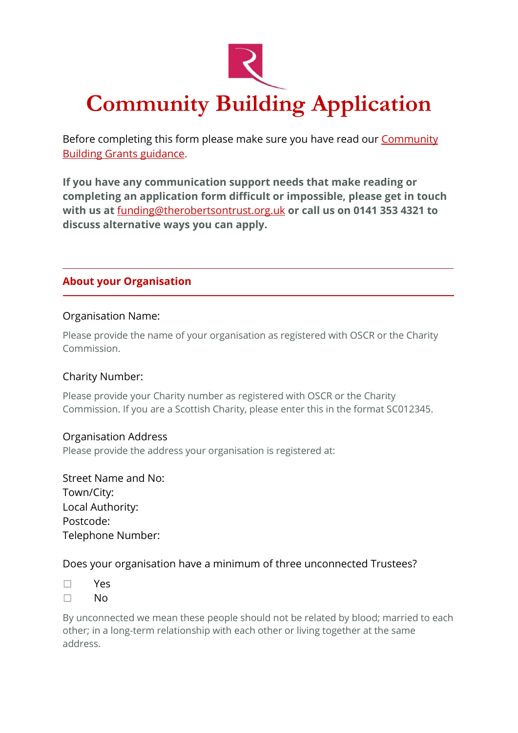

Before completing this form please make sure you have read our **Community** [Building Grants guidance.](https://www.therobertsontrust.org.uk/funding/community-building-grants-guidance)

**If you have any communication support needs that make reading or completing an application form difficult or impossible, please get in touch with us at** [funding@therobertsontrust.org.uk](mailto:funding@therobertsontrust.org.uk) **or call us on 0141 353 4321 to discuss alternative ways you can apply.**

# **About your Organisation**

#### Organisation Name:

Please provide the name of your organisation as registered with OSCR or the Charity Commission.

### Charity Number:

Please provide your Charity number as registered with OSCR or the Charity Commission. If you are a Scottish Charity, please enter this in the format SC012345.

#### Organisation Address

Please provide the address your organisation is registered at:

Street Name and No: Town/City: Local Authority: Postcode: Telephone Number:

### Does your organisation have a minimum of three unconnected Trustees?

- ☐ Yes
- ☐ No

By unconnected we mean these people should not be related by blood; married to each other; in a long-term relationship with each other or living together at the same address.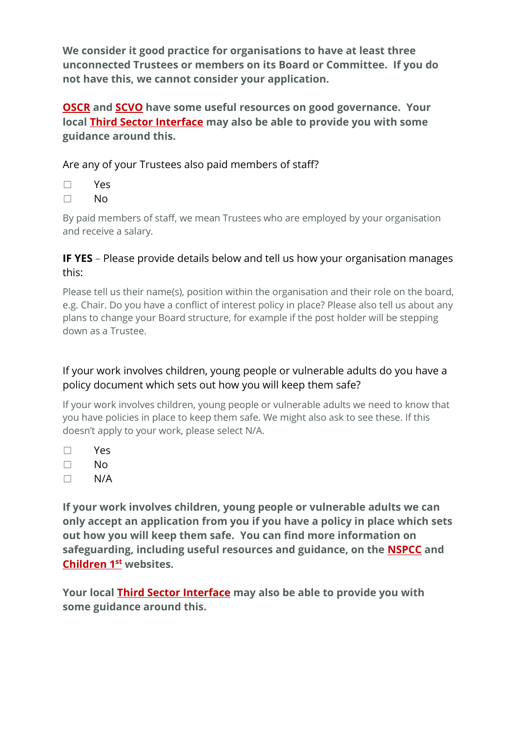**We consider it good practice for organisations to have at least three unconnected Trustees or members on its Board or Committee. If you do not have this, we cannot consider your application.**

**[OSCR](https://www.oscr.org.uk/media/3621/v10_guidance-and-good-practice-for-charity-trustees.pdf) and [SCVO](https://scvo.org.uk/support/running-your-organisation/governance) have some useful resources on good governance. Your local [Third Sector Interface](https://www.gov.scot/publications/third-sector-interfaces-contact-details/) may also be able to provide you with some guidance around this.**

Are any of your Trustees also paid members of staff?

| w<br>۰, |
|---------|
|---------|

☐ No

By paid members of staff, we mean Trustees who are employed by your organisation and receive a salary.

# **IF YES** – Please provide details below and tell us how your organisation manages this:

Please tell us their name(s), position within the organisation and their role on the board, e.g. Chair. Do you have a conflict of interest policy in place? Please also tell us about any plans to change your Board structure, for example if the post holder will be stepping down as a Trustee.

# If your work involves children, young people or vulnerable adults do you have a policy document which sets out how you will keep them safe?

If your work involves children, young people or vulnerable adults we need to know that you have policies in place to keep them safe. We might also ask to see these. If this doesn't apply to your work, please select N/A.

- ☐ Yes
- ☐ No
- $\Box$  N/A

**If your work involves children, young people or vulnerable adults we can only accept an application from you if you have a policy in place which sets out how you will keep them safe. You can find more information on safeguarding, including useful resources and guidance, on the [NSPCC](https://learning.nspcc.org.uk/safeguarding-checklist) and [Children 1](https://www.children1st.org.uk/help-for-families/safeguarders-panel/for-safeguarders/guidance-and-policy-documents)st websites.**

**Your local [Third Sector Interface](https://www.gov.scot/publications/third-sector-interfaces-contact-details/) may also be able to provide you with some guidance around this.**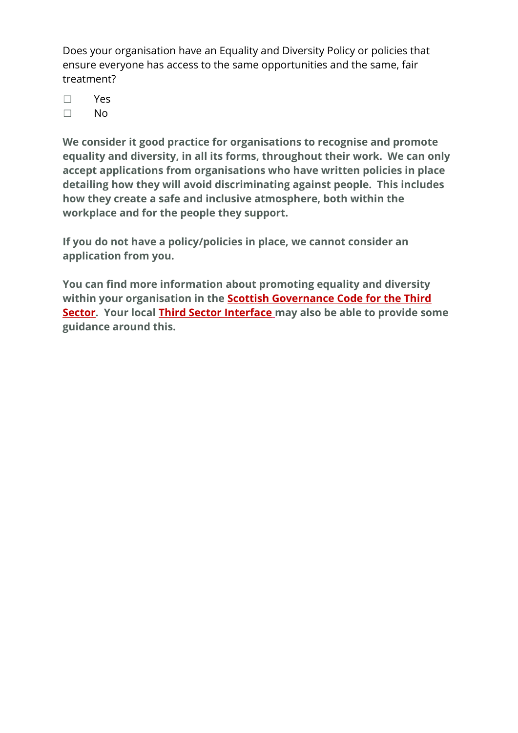Does your organisation have an Equality and Diversity Policy or policies that ensure everyone has access to the same opportunities and the same, fair treatment?

- ☐ Yes
- ☐ No

**We consider it good practice for organisations to recognise and promote equality and diversity, in all its forms, throughout their work. We can only accept applications from organisations who have written policies in place detailing how they will avoid discriminating against people. This includes how they create a safe and inclusive atmosphere, both within the workplace and for the people they support.**

**If you do not have a policy/policies in place, we cannot consider an application from you.**

**You can find more information about promoting equality and diversity within your organisation in the [Scottish Governance Code for the Third](https://goodgovernance.scot/governance-code/)  [Sector.](https://goodgovernance.scot/governance-code/) Your local [Third Sector Interface](https://www.gov.scot/publications/third-sector-interfaces-contact-details/) may also be able to provide some guidance around this.**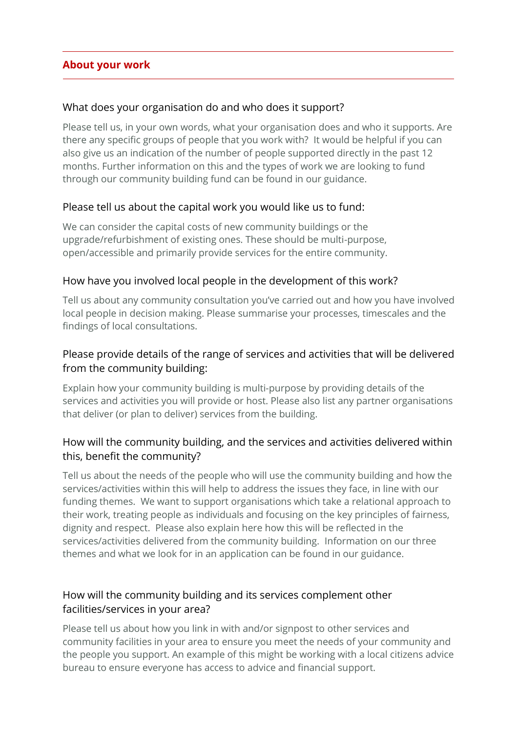### **About your work**

### What does your organisation do and who does it support?

Please tell us, in your own words, what your organisation does and who it supports. Are there any specific groups of people that you work with? It would be helpful if you can also give us an indication of the number of people supported directly in the past 12 months. Further information on this and the types of work we are looking to fund through our community building fund can be found in our guidance.

### Please tell us about the capital work you would like us to fund:

We can consider the capital costs of new community buildings or the upgrade/refurbishment of existing ones. These should be multi-purpose, open/accessible and primarily provide services for the entire community.

### How have you involved local people in the development of this work?

Tell us about any community consultation you've carried out and how you have involved local people in decision making. Please summarise your processes, timescales and the findings of local consultations.

# Please provide details of the range of services and activities that will be delivered from the community building:

Explain how your community building is multi-purpose by providing details of the services and activities you will provide or host. Please also list any partner organisations that deliver (or plan to deliver) services from the building.

# How will the community building, and the services and activities delivered within this, benefit the community?

Tell us about the needs of the people who will use the community building and how the services/activities within this will help to address the issues they face, in line with our funding themes. We want to support organisations which take a relational approach to their work, treating people as individuals and focusing on the key principles of fairness, dignity and respect. Please also explain here how this will be reflected in the services/activities delivered from the community building. Information on our three themes and what we look for in an application can be found in our guidance.

# How will the community building and its services complement other facilities/services in your area?

Please tell us about how you link in with and/or signpost to other services and community facilities in your area to ensure you meet the needs of your community and the people you support. An example of this might be working with a local citizens advice bureau to ensure everyone has access to advice and financial support.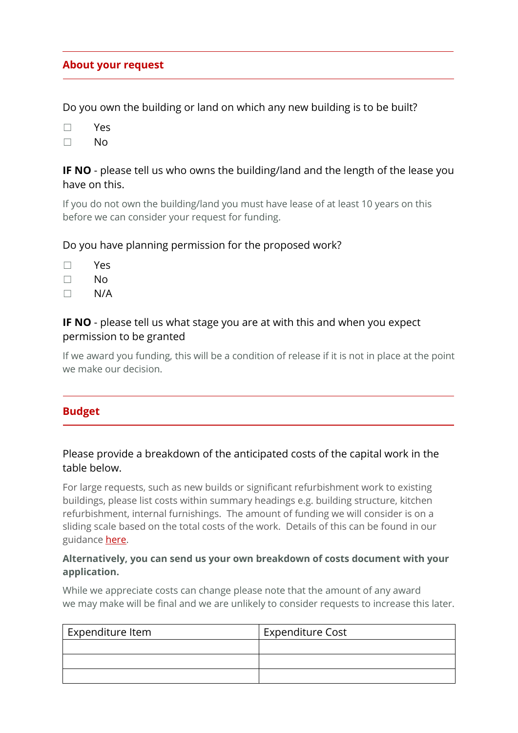### **About your request**

Do you own the building or land on which any new building is to be built?

- ☐ Yes
- ☐ No

### **IF NO** - please tell us who owns the building/land and the length of the lease you have on this.

If you do not own the building/land you must have lease of at least 10 years on this before we can consider your request for funding.

### Do you have planning permission for the proposed work?

- ☐ Yes
- ☐ No
- $\Box$  N/A

### **IF NO** - please tell us what stage you are at with this and when you expect permission to be granted

If we award you funding, this will be a condition of release if it is not in place at the point we make our decision.

### **Budget**

### Please provide a breakdown of the anticipated costs of the capital work in the table below.

For large requests, such as new builds or significant refurbishment work to existing buildings, please list costs within summary headings e.g. building structure, kitchen refurbishment, internal furnishings. The amount of funding we will consider is on a sliding scale based on the total costs of the work. Details of this can be found in our guidance [here.](https://www.therobertsontrust.org.uk/funding/community-building-grants-guidance)

#### **Alternatively, you can send us your own breakdown of costs document with your application.**

While we appreciate costs can change please note that the amount of any award we may make will be final and we are unlikely to consider requests to increase this later.

| Expenditure Item | <b>Expenditure Cost</b> |
|------------------|-------------------------|
|                  |                         |
|                  |                         |
|                  |                         |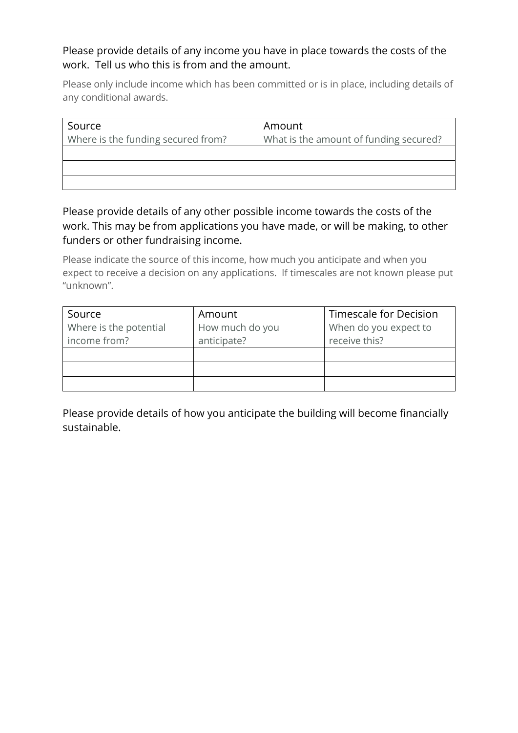# Please provide details of any income you have in place towards the costs of the work. Tell us who this is from and the amount.

Please only include income which has been committed or is in place, including details of any conditional awards.

| Source                             | Amount                                 |
|------------------------------------|----------------------------------------|
| Where is the funding secured from? | What is the amount of funding secured? |
|                                    |                                        |
|                                    |                                        |
|                                    |                                        |

Please provide details of any other possible income towards the costs of the work. This may be from applications you have made, or will be making, to other funders or other fundraising income.

Please indicate the source of this income, how much you anticipate and when you expect to receive a decision on any applications. If timescales are not known please put "unknown".

| Source                 | Amount          | Timescale for Decision |  |
|------------------------|-----------------|------------------------|--|
| Where is the potential | How much do you | When do you expect to  |  |
| income from?           | anticipate?     | receive this?          |  |
|                        |                 |                        |  |
|                        |                 |                        |  |
|                        |                 |                        |  |

Please provide details of how you anticipate the building will become financially sustainable.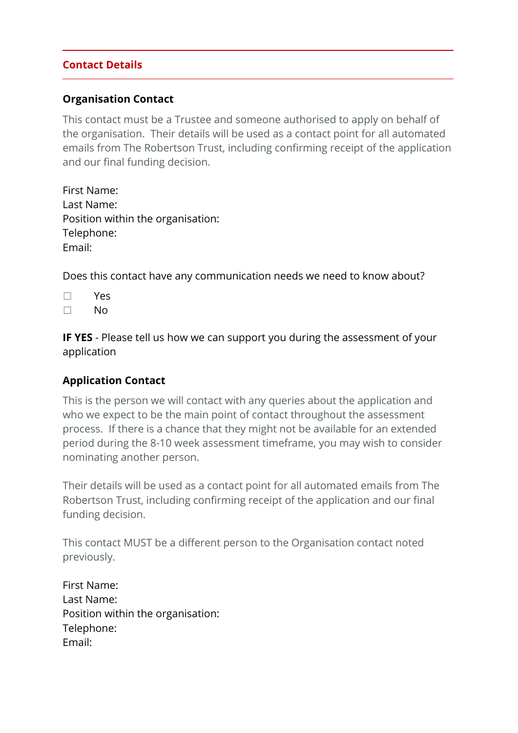# **Contact Details**

### **Organisation Contact**

This contact must be a Trustee and someone authorised to apply on behalf of the organisation. Their details will be used as a contact point for all automated emails from The Robertson Trust, including confirming receipt of the application and our final funding decision.

| First Name:                       |  |
|-----------------------------------|--|
| Last Name:                        |  |
| Position within the organisation: |  |
| Telephone:                        |  |
| Email:                            |  |

Does this contact have any communication needs we need to know about?

- ☐ Yes
- ☐ No

**IF YES** - Please tell us how we can support you during the assessment of your application

# **Application Contact**

This is the person we will contact with any queries about the application and who we expect to be the main point of contact throughout the assessment process. If there is a chance that they might not be available for an extended period during the 8-10 week assessment timeframe, you may wish to consider nominating another person.

Their details will be used as a contact point for all automated emails from The Robertson Trust, including confirming receipt of the application and our final funding decision.

This contact MUST be a different person to the Organisation contact noted previously.

First Name: Last Name: Position within the organisation: Telephone: Email: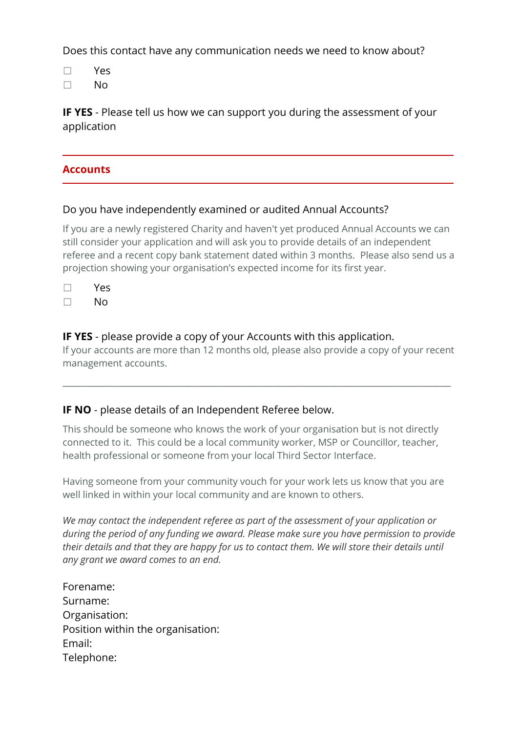Does this contact have any communication needs we need to know about?

☐ Yes

☐ No

**IF YES** - Please tell us how we can support you during the assessment of your application

### **Accounts**

### Do you have independently examined or audited Annual Accounts?

If you are a newly registered Charity and haven't yet produced Annual Accounts we can still consider your application and will ask you to provide details of an independent referee and a recent copy bank statement dated within 3 months. Please also send us a projection showing your organisation's expected income for its first year.

| ρ<br>u<br>᠆ |
|-------------|
|             |

☐ No

### **IF YES** - please provide a copy of your Accounts with this application.

If your accounts are more than 12 months old, please also provide a copy of your recent management accounts.

\_\_\_\_\_\_\_\_\_\_\_\_\_\_\_\_\_\_\_\_\_\_\_\_\_\_\_\_\_\_\_\_\_\_\_\_\_\_\_\_\_\_\_\_\_\_\_\_\_\_\_\_\_\_\_\_\_\_\_\_\_\_\_\_\_\_\_\_\_\_\_\_\_\_\_\_\_\_\_\_\_\_\_

# **IF NO** - please details of an Independent Referee below.

This should be someone who knows the work of your organisation but is not directly connected to it. This could be a local community worker, MSP or Councillor, teacher, health professional or someone from your local Third Sector Interface.

Having someone from your community vouch for your work lets us know that you are well linked in within your local community and are known to others.

*We may contact the independent referee as part of the assessment of your application or during the period of any funding we award. Please make sure you have permission to provide their details and that they are happy for us to contact them. We will store their details until any grant we award comes to an end.*

Forename: Surname: Organisation: Position within the organisation: Email: Telephone: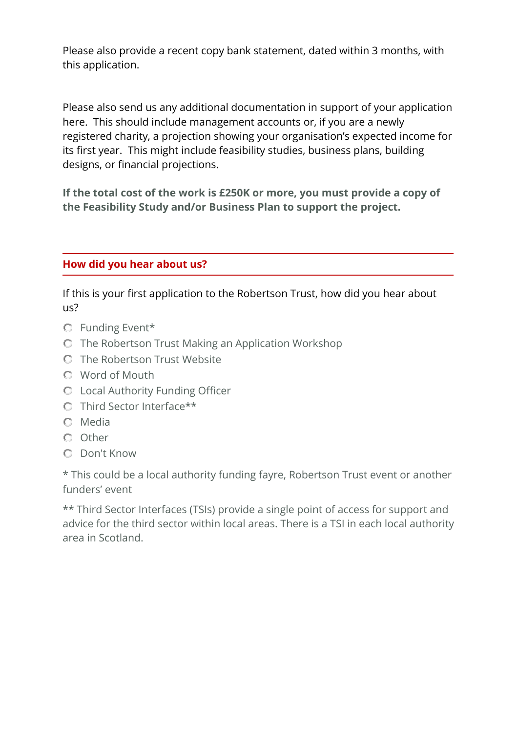Please also provide a recent copy bank statement, dated within 3 months, with this application.

Please also send us any additional documentation in support of your application here. This should include management accounts or, if you are a newly registered charity, a projection showing your organisation's expected income for its first year. This might include feasibility studies, business plans, building designs, or financial projections.

**If the total cost of the work is £250K or more, you must provide a copy of the Feasibility Study and/or Business Plan to support the project.**

# **How did you hear about us?**

If this is your first application to the Robertson Trust, how did you hear about us?

- Funding Event\*
- The Robertson Trust Making an Application Workshop
- The Robertson Trust Website
- Word of Mouth
- Local Authority Funding Officer
- Third Sector Interface\*\*
- Media
- Other
- Don't Know

\* This could be a local authority funding fayre, Robertson Trust event or another funders' event

\*\* Third Sector Interfaces (TSIs) provide a single point of access for support and advice for the third sector within local areas. There is a TSI in each local authority area in Scotland.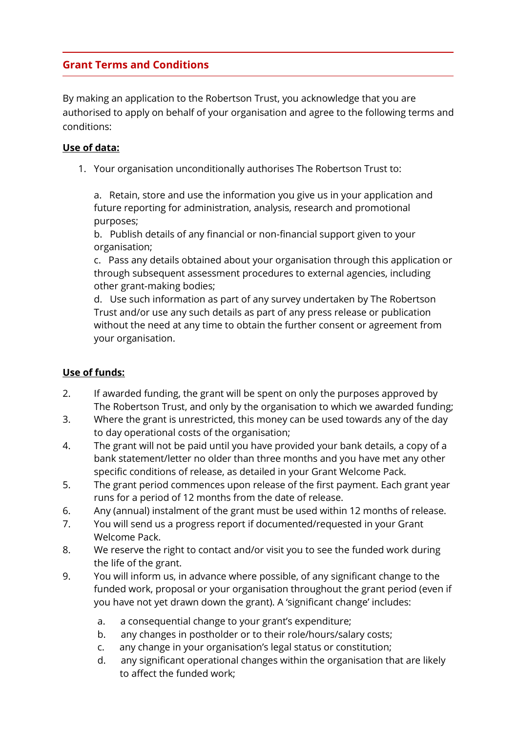# **Grant Terms and Conditions**

By making an application to the Robertson Trust, you acknowledge that you are authorised to apply on behalf of your organisation and agree to the following terms and conditions:

### **Use of data:**

1. Your organisation unconditionally authorises The Robertson Trust to:

a. Retain, store and use the information you give us in your application and future reporting for administration, analysis, research and promotional purposes;

b. Publish details of any financial or non-financial support given to your organisation;

c. Pass any details obtained about your organisation through this application or through subsequent assessment procedures to external agencies, including other grant-making bodies;

d. Use such information as part of any survey undertaken by The Robertson Trust and/or use any such details as part of any press release or publication without the need at any time to obtain the further consent or agreement from your organisation.

# **Use of funds:**

- 2. If awarded funding, the grant will be spent on only the purposes approved by The Robertson Trust, and only by the organisation to which we awarded funding;
- 3. Where the grant is unrestricted, this money can be used towards any of the day to day operational costs of the organisation;
- 4. The grant will not be paid until you have provided your bank details, a copy of a bank statement/letter no older than three months and you have met any other specific conditions of release, as detailed in your Grant Welcome Pack.
- 5. The grant period commences upon release of the first payment. Each grant year runs for a period of 12 months from the date of release.
- 6. Any (annual) instalment of the grant must be used within 12 months of release.
- 7. You will send us a progress report if documented/requested in your Grant Welcome Pack.
- 8. We reserve the right to contact and/or visit you to see the funded work during the life of the grant.
- 9. You will inform us, in advance where possible, of any significant change to the funded work, proposal or your organisation throughout the grant period (even if you have not yet drawn down the grant). A 'significant change' includes:
	- a. a consequential change to your grant's expenditure;
	- b. any changes in postholder or to their role/hours/salary costs;
	- c. any change in your organisation's legal status or constitution;
	- d. any significant operational changes within the organisation that are likely to affect the funded work;